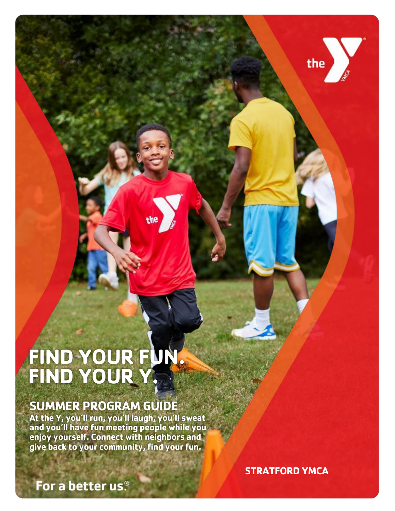## **FIND YOUR FUN. FIND YOUR Y.**

### **SUMMER PROGRAM GUIDE**

**At the Y, you'll run, you'll laugh, you'll sweat and you'll have fun meeting people while you enjoy yourself. Connect with neighbors and give back to your community, find your fun.** 

**STRATFORD YMCA** 

the V

**REGISTER ONLINE AT STRATFORD** View current schedules, programs and events on our website!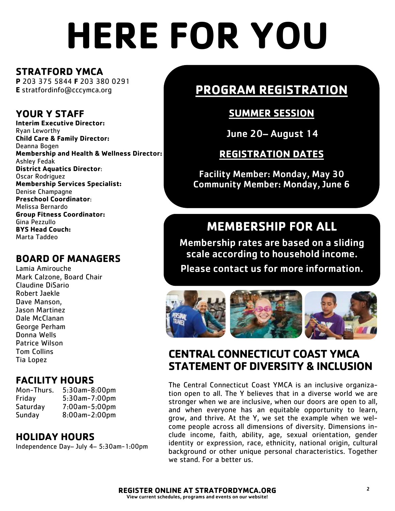# **HERE FOR YOU**

#### **STRATFORD YMCA**

**P** 203 375 5844 **F** 203 380 0291 **E** stratfordinfo@cccymca.org

#### **YOUR Y STAFF**

**Interim Executive Director:**  Ryan Leworthy **Child Care & Family Director:** Deanna Bogen **Membership and Health & Wellness Director:**  Ashley Fedak **District Aquatics Director**: Oscar Rodriguez **Membership Services Specialist:**  Denise Champagne **Preschool Coordinator**: Melissa Bernardo **Group Fitness Coordinator:** Gina Pezzullo **BYS Head Couch:**  Marta Taddeo

#### **BOARD OF MANAGERS**

Lamia Amirouche Mark Calzone, Board Chair Claudine DiSario Robert Jaekle Dave Manson, Jason Martinez Dale McClanan George Perham Donna Wells Patrice Wilson Tom Collins Tia Lopez

#### **FACILITY HOURS**

Mon-Thurs. 5:30am-8:00pm Friday 5:30am-7:00pm Saturday 7:00am-5:00pm Sunday 8:00am-2:00pm

#### **HOLIDAY HOURS**

Independence Day– July 4– 5:30am-1:00pm

### **PROGRAM REGISTRATION**

#### **SUMMER SESSION**

June 20– August 14

#### **REGISTRATION DATES**

Facility Member: Monday, May 30 Community Member: Monday, June 6

### **MEMBERSHIP FOR ALL**

Membership rates are based on a sliding scale according to household income. Please contact us for more information.



#### **CENTRAL CONNECTICUT COAST YMCA STATEMENT OF DIVERSITY & INCLUSION**

The Central Connecticut Coast YMCA is an inclusive organization open to all. The Y believes that in a diverse world we are stronger when we are inclusive, when our doors are open to all, and when everyone has an equitable opportunity to learn, grow, and thrive. At the Y, we set the example when we welcome people across all dimensions of diversity. Dimensions include income, faith, ability, age, sexual orientation, gender identity or expression, race, ethnicity, national origin, cultural background or other unique personal characteristics. Together we stand. For a better us.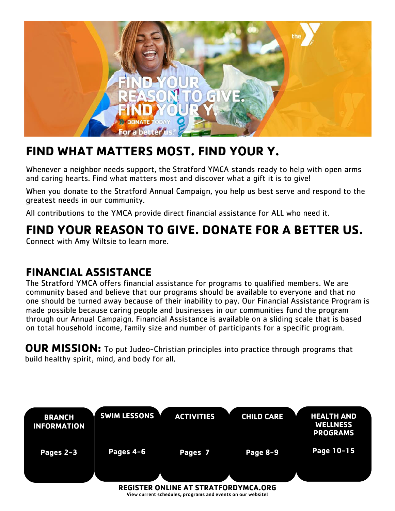

## **FIND WHAT MATTERS MOST. FIND YOUR Y.**

Whenever a neighbor needs support, the Stratford YMCA stands ready to help with open arms and caring hearts. Find what matters most and discover what a gift it is to give!

When you donate to the Stratford Annual Campaign, you help us best serve and respond to the greatest needs in our community.

All contributions to the YMCA provide direct financial assistance for ALL who need it.

## **FIND YOUR REASON TO GIVE. DONATE FOR A BETTER US.**

Connect with Amy Wiltsie to learn more.

### **FINANCIAL ASSISTANCE**

The Stratford YMCA offers financial assistance for programs to qualified members. We are community based and believe that our programs should be available to everyone and that no one should be turned away because of their inability to pay. Our Financial Assistance Program is made possible because caring people and businesses in our communities fund the program through our Annual Campaign. Financial Assistance is available on a sliding scale that is based on total household income, family size and number of participants for a specific program.

**OUR MISSION:** To put Judeo-Christian principles into practice through programs that build healthy spirit, mind, and body for all.

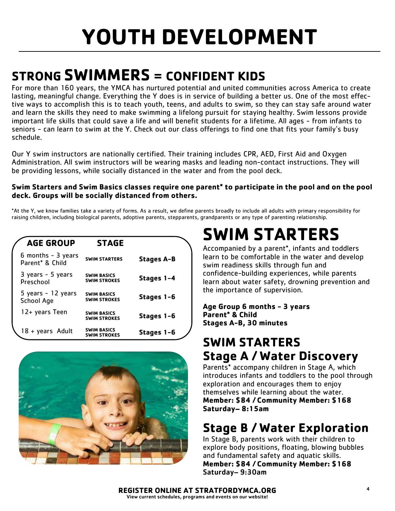## **STRONG SWIMMERS = CONFIDENT KIDS**

For more than 160 years, the YMCA has nurtured potential and united communities across America to create lasting, meaningful change. Everything the Y does is in service of building a better us. One of the most effective ways to accomplish this is to teach youth, teens, and adults to swim, so they can stay safe around water and learn the skills they need to make swimming a lifelong pursuit for staying healthy. Swim lessons provide important life skills that could save a life and will benefit students for a lifetime. All ages - from infants to seniors - can learn to swim at the Y. Check out our class offerings to find one that fits your family's busy schedule.

Our Y swim instructors are nationally certified. Their training includes CPR, AED, First Aid and Oxygen Administration. All swim instructors will be wearing masks and leading non-contact instructions. They will be providing lessons, while socially distanced in the water and from the pool deck.

#### **Swim Starters and Swim Basics classes require one parent\* to participate in the pool and on the pool deck. Groups will be socially distanced from others.**

\*At the Y, we know families take a variety of forms. As a result, we define parents broadly to include all adults with primary responsibility for raising children, including biological parents, adoptive parents, stepparents, grandparents or any type of parenting relationship.

| <b>AGE GROUP</b>                         | <b>STAGE</b>                              |                   |
|------------------------------------------|-------------------------------------------|-------------------|
| $6$ months $-3$ years<br>Parent* & Child | <b>SWIM STARTERS</b>                      | <b>Stages A-B</b> |
| 3 years - 5 years<br>Preschool           | <b>SWIM BASICS</b><br><b>SWIM STROKES</b> | Stages 1-4        |
| 5 years - 12 years<br>School Age         | <b>SWIM BASICS</b><br><b>SWIM STROKES</b> | Stages 1-6        |
| 12+ years Teen                           | <b>SWIM BASICS</b><br><b>SWIM STROKES</b> | Stages 1-6        |
| 18 + years Adult                         | <b>SWIM BASICS</b><br><b>SWIM STROKES</b> | Stages 1-6        |



## **SWIM STARTERS**

Accompanied by a parent\*, infants and toddlers learn to be comfortable in the water and develop swim readiness skills through fun and confidence-building experiences, while parents learn about water safety, drowning prevention and the importance of supervision.

#### **Age Group 6 months - 3 years Parent\* & Child Stages A-B, 30 minutes**

## **SWIM STARTERS Stage A / Water Discovery**

Parents\* accompany children in Stage A, which introduces infants and toddlers to the pool through exploration and encourages them to enjoy themselves while learning about the water. **Member: \$84 / Community Member: \$168 Saturday– 8:15am**

## **Stage B / Water Exploration**

In Stage B, parents work with their children to explore body positions, floating, blowing bubbles and fundamental safety and aquatic skills. **Member: \$84 / Community Member: \$168**  Saturday– 9:30am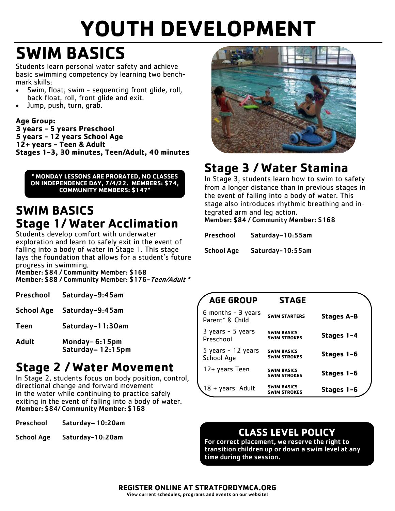## **SWIM BASICS**

Students learn personal water safety and achieve basic swimming competency by learning two benchmark skills:

- Swim, float, swim sequencing front glide, roll, back float, roll, front glide and exit.
- Jump, push, turn, grab.

#### **Age Group:**

**3 years - 5 years Preschool 5 years - 12 years School Age 12+ years - Teen & Adult Stages 1-3, 30 minutes, Teen/Adult, 40 minutes**

**\* MONDAY LESSONS ARE PRORATED, NO CLASSES ON INDEPENDENCE DAY, 7/4/22. MEMBERS: \$74, COMMUNITY MEMBERS: \$147\***

### **SWIM BASICS Stage 1/ Water Acclimation**

Students develop comfort with underwater exploration and learn to safely exit in the event of falling into a body of water in Stage 1. This stage lays the foundation that allows for a student's future progress in swimming.

Member: \$84 / Community Member: \$168 Member: \$88 / Community Member: \$176-Teen/Adult \*

| Preschool | Saturday-9:45am |
|-----------|-----------------|
|           |                 |

- School Age Saturday-9:45am
- Teen Saturday-11:30am
- Adult Monday- 6:15pm Saturday– 12:15pm

### **Stage 2 / Water Movement**

In Stage 2, students focus on body position, control, directional change and forward movement in the water while continuing to practice safely exiting in the event of falling into a body of water. Member: \$84/ Community Member: \$168

Preschool Saturday– 10:20am

School Age Saturday-10:20am



## **Stage 3 / Water Stamina**

In Stage 3, students learn how to swim to safety from a longer distance than in previous stages in the event of falling into a body of water. This stage also introduces rhythmic breathing and integrated arm and leg action.

Member: \$84 / Community Member: \$168

School Age Saturday-10:55am

| <b>AGE GROUP</b>                         | <b>STAGE</b>                              |            |
|------------------------------------------|-------------------------------------------|------------|
| $6$ months $-3$ years<br>Parent* & Child | <b>SWIM STARTERS</b>                      | Stages A-B |
| 3 years - 5 years<br>Preschool           | <b>SWIM BASICS</b><br><b>SWIM STROKES</b> | Stages 1-4 |
| 5 years - 12 years<br>School Age         | <b>SWIM BASICS</b><br><b>SWIM STROKES</b> | Stages 1-6 |
| 12+ years Teen                           | <b>SWIM BASICS</b><br><b>SWIM STROKES</b> | Stages 1-6 |
| 18 + years Adult                         | <b>SWIM BASICS</b><br><b>SWIM STROKES</b> | Stages 1-6 |

#### **CLASS LEVEL POLICY**

For correct placement, we reserve the right to transition children up or down a swim level at any time during the session.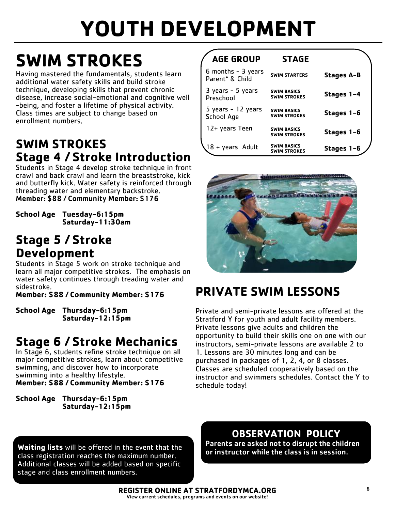## **SWIM STROKES**

Having mastered the fundamentals, students learn additional water safety skills and build stroke technique, developing skills that prevent chronic disease, increase social-emotional and cognitive well -being, and foster a lifetime of physical activity. Class times are subject to change based on enrollment numbers.

## **SWIM STROKES Stage 4 / Stroke Introduction**

Students in Stage 4 develop stroke technique in front crawl and back crawl and learn the breaststroke, kick and butterfly kick. Water safety is reinforced through threading water and elementary backstroke. Member: \$88 / Community Member: \$176

**School Age Tuesday-6:15pm Saturday-11:30am**

### **Stage 5 / Stroke Development**

Students in Stage 5 work on stroke technique and learn all major competitive strokes. The emphasis on water safety continues through treading water and sidestroke.

**Member: \$88 / Community Member: \$176**

**School Age Thursday-6:15pm Saturday-12:15pm**

## **Stage 6 / Stroke Mechanics**

In Stage 6, students refine stroke technique on all major competitive strokes, learn about competitive swimming, and discover how to incorporate swimming into a healthy lifestyle. **Member: \$88 / Community Member: \$176**

**School Age Thursday-6:15pm Saturday-12:15pm**

#### **AGE GROUP STAGE**

| $6$ months $-3$ years<br>Parent <sup>*</sup> & Child | <b>SWIM STARTERS</b>                      | <b>Stages A-B</b> |
|------------------------------------------------------|-------------------------------------------|-------------------|
| 3 years - 5 years<br>Preschool                       | <b>SWIM BASICS</b><br><b>SWIM STROKES</b> | Stages 1-4        |
| 5 years - 12 years<br>School Age                     | <b>SWIM BASICS</b><br><b>SWIM STROKES</b> | Stages 1-6        |
| 12+ years Teen                                       | <b>SWIM BASICS</b><br><b>SWIM STROKES</b> | Stages 1-6        |
| 18 + years Adult                                     | <b>SWIM BASICS</b><br><b>SWIM STROKES</b> | Stages 1-6        |



## **PRIVATE SWIM LESSONS**

Private and semi-private lessons are offered at the Stratford Y for youth and adult facility members. Private lessons give adults and children the opportunity to build their skills one on one with our instructors, semi-private lessons are available 2 to 1. Lessons are 30 minutes long and can be purchased in packages of 1, 2, 4, or 8 classes. Classes are scheduled cooperatively based on the instructor and swimmers schedules. Contact the Y to schedule today!

**Waiting lists** will be offered in the event that the class registration reaches the maximum number. Additional classes will be added based on specific stage and class enrollment numbers.

#### **OBSERVATION POLICY**

Parents are asked not to disrupt the children or instructor while the class is in session.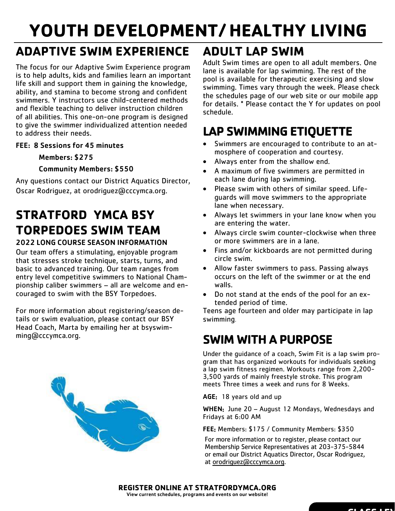## **YOUTH DEVELOPMENT/ HEALTHY LIVING**

## **ADAPTIVE SWIM EXPERIENCE**

The focus for our Adaptive Swim Experience program is to help adults, kids and families learn an important life skill and support them in gaining the knowledge, ability, and stamina to become strong and confident swimmers. Y instructors use child-centered methods and flexible teaching to deliver instruction children of all abilities. This one-on-one program is designed to give the swimmer individualized attention needed to address their needs.

#### FEE: 8 Sessions for 45 minutes

#### Members: \$275

#### Community Members: \$550

Any questions contact our District Aquatics Director, Oscar Rodriguez, at orodriguez@cccymca.org.

## **STRATFORD YMCA BSY TORPEDOES SWIM TEAM**

#### 2022 LONG COURSE SEASON INFORMATION

Our team offers a stimulating, enjoyable program that stresses stroke technique, starts, turns, and basic to advanced training. Our team ranges from entry level competitive swimmers to National Championship caliber swimmers – all are welcome and encouraged to swim with the BSY Torpedoes.

For more information about registering/season details or swim evaluation, please contact our BSY Head Coach, Marta by emailing her at bsyswimming@cccymca.org.



## **ADULT LAP SWIM**

Adult Swim times are open to all adult members. One lane is available for lap swimming. The rest of the pool is available for therapeutic exercising and slow swimming. Times vary through the week. Please check the schedules page of our web site or our mobile app for details. \* Please contact the Y for updates on pool schedule.

## **LAP SWIMMING ETIQUETTE**

- Swimmers are encouraged to contribute to an atmosphere of cooperation and courtesy.
- Always enter from the shallow end.
- A maximum of five swimmers are permitted in each lane during lap swimming.
- Please swim with others of similar speed. Lifeguards will move swimmers to the appropriate lane when necessary.
- Always let swimmers in your lane know when you are entering the water.
- Always circle swim counter-clockwise when three or more swimmers are in a lane.
- Fins and/or kickboards are not permitted during circle swim.
- Allow faster swimmers to pass. Passing always occurs on the left of the swimmer or at the end walls.
- Do not stand at the ends of the pool for an extended period of time.

Teens age fourteen and older may participate in lap swimming.

### **SWIM WITH A PURPOSE**

Under the guidance of a coach, Swim Fit is a lap swim program that has organized workouts for individuals seeking a lap swim fitness regimen. Workouts range from 2,200- 3,500 yards of mainly freestyle stroke. This program meets Three times a week and runs for 8 Weeks.

AGE: 18 years old and up

WHEN: June 20 - August 12 Mondays, Wednesdays and Fridays at 6:00 AM

FEE: Members: \$175 / Community Members: \$350

For more information or to register, please contact our Membership Service Representatives at 203-375-5844 or email our District Aquatics Director, Oscar Rodriguez, at [orodriguez@cccymca.org.](mailto:orodriguez@cccymca.org)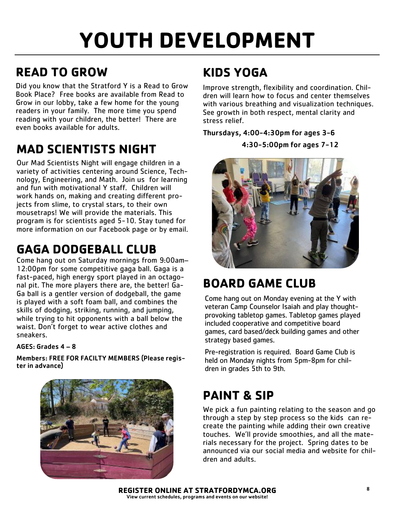## **READ TO GROW**

Did you know that the Stratford Y is a Read to Grow Book Place? Free books are available from Read to Grow in our lobby, take a few home for the young readers in your family. The more time you spend reading with your children, the better! There are even books available for adults.

## **MAD SCIENTISTS NIGHT**

Our Mad Scientists Night will engage children in a variety of activities centering around Science, Technology, Engineering, and Math. Join us for learning and fun with motivational Y staff. Children will work hands on, making and creating different projects from slime, to crystal stars, to their own mousetraps! We will provide the materials. This program is for scientists aged 5-10. Stay tuned for more information on our Facebook page or by email.

## **GAGA DODGEBALL CLUB**

Come hang out on Saturday mornings from 9:00am– 12:00pm for some competitive gaga ball. Gaga is a fast-paced, high energy sport played in an octagonal pit. The more players there are, the better! Ga-Ga ball is a gentler version of dodgeball, the game is played with a soft foam ball, and combines the skills of dodging, striking, running, and jumping, while trying to hit opponents with a ball below the waist. Don't forget to wear active clothes and sneakers.

#### AGES: Grades 4 – 8

Members: FREE FOR FACILTY MEMBERS (Please register in advance)



## **KIDS YOGA**

Improve strength, flexibility and coordination. Children will learn how to focus and center themselves with various breathing and visualization techniques. See growth in both respect, mental clarity and stress relief.

#### Thursdays, 4:00-4:30pm for ages 3-6

4:30-5:00pm for ages 7-12



## **BOARD GAME CLUB**

Come hang out on Monday evening at the Y with veteran Camp Counselor Isaiah and play thoughtprovoking tabletop games. Tabletop games played included cooperative and competitive board games, card based/deck building games and other strategy based games.

Pre-registration is required. Board Game Club is held on Monday nights from 5pm-8pm for children in grades 5th to 9th.

## **PAINT & SIP**

We pick a fun painting relating to the season and go through a step by step process so the kids can recreate the painting while adding their own creative touches. We'll provide smoothies, and all the materials necessary for the project. Spring dates to be announced via our social media and website for children and adults.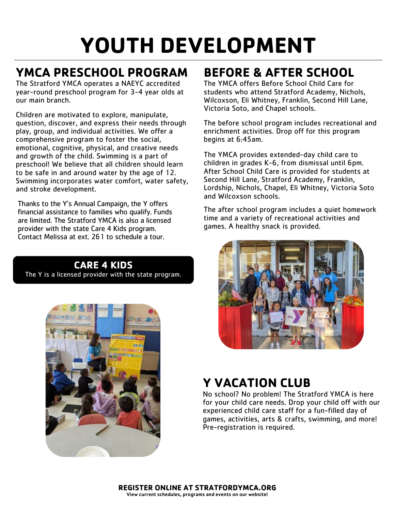## **YMCA PRESCHOOL PROGRAM**

The Stratford YMCA operates a NAEYC accredited year-round preschool program for 3-4 year olds at our main branch.

Children are motivated to explore, manipulate, question, discover, and express their needs through play, group, and individual activities. We offer a comprehensive program to foster the social, emotional, cognitive, physical, and creative needs and growth of the child. Swimming is a part of preschool! We believe that all children should learn to be safe in and around water by the age of 12. Swimming incorporates water comfort, water safety, and stroke development.

Thanks to the Y's Annual Campaign, the Y offers financial assistance to families who qualify. Funds are limited. The Stratford YMCA is also a licensed provider with the state Care 4 Kids program. Contact Melissa at ext. 261 to schedule a tour.

## **CARE 4 KIDS**

The Y is a licensed provider with the state program.



## **BEFORE & AFTER SCHOOL**

The YMCA offers Before School Child Care for students who attend Stratford Academy, Nichols, Wilcoxson, Eli Whitney, Franklin, Second Hill Lane, Victoria Soto, and Chapel schools.

The before school program includes recreational and enrichment activities. Drop off for this program begins at 6:45am.

The YMCA provides extended-day child care to children in grades K-6, from dismissal until 6pm. After School Child Care is provided for students at Second Hill Lane, Stratford Academy, Franklin, Lordship, Nichols, Chapel, Eli Whitney, Victoria Soto and Wilcoxson schools.

The after school program includes a quiet homework time and a variety of recreational activities and games. A healthy snack is provided.



## **Y VACATION CLUB**

No school? No problem! The Stratford YMCA is here for your child care needs. Drop your child off with our experienced child care staff for a fun-filled day of games, activities, arts & crafts, swimming, and more! Pre-registration is required.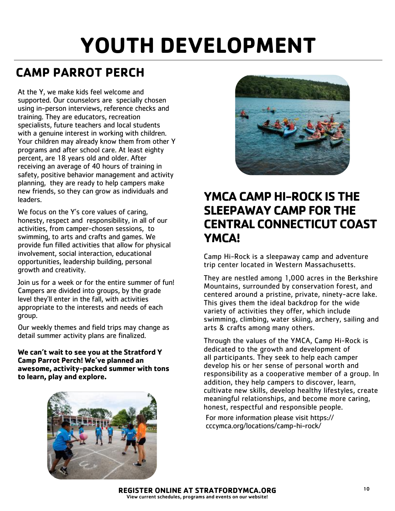## **CAMP PARROT PERCH**

At the Y, we make kids feel welcome and supported. Our counselors are specially chosen using in-person interviews, reference checks and training. They are educators, recreation specialists, future teachers and local students with a genuine interest in working with children. Your children may already know them from other Y programs and after school care. At least eighty percent, are 18 years old and older. After receiving an average of 40 hours of training in safety, positive behavior management and activity planning, they are ready to help campers make new friends, so they can grow as individuals and leaders.

We focus on the Y's core values of caring, honesty, respect and responsibility, in all of our activities, from camper-chosen sessions, to swimming, to arts and crafts and games. We provide fun filled activities that allow for physical involvement, social interaction, educational opportunities, leadership building, personal growth and creativity.

Join us for a week or for the entire summer of fun! Campers are divided into groups, by the grade level they'll enter in the fall, with activities appropriate to the interests and needs of each group.

Our weekly themes and field trips may change as detail summer activity plans are finalized.

**We can't wait to see you at the Stratford Y Camp Parrot Perch! We've planned an awesome, activity-packed summer with tons to learn, play and explore.** 





### **YMCA CAMP HI-ROCK IS THE SLEEPAWAY CAMP FOR THE CENTRAL CONNECTICUT COAST YMCA!**

Camp Hi-Rock is a sleepaway camp and adventure trip center located in Western Massachusetts.

They are nestled among 1,000 acres in the Berkshire Mountains, surrounded by conservation forest, and centered around a pristine, private, ninety-acre lake. This gives them the ideal backdrop for the wide variety of activities they offer, which include swimming, climbing, water skiing, archery, sailing and arts & crafts among many others.

Through the values of the YMCA, Camp Hi-Rock is dedicated to the growth and development of all participants. They seek to help each camper develop his or her sense of personal worth and responsibility as a cooperative member of a group. In addition, they help campers to discover, learn, cultivate new skills, develop healthy lifestyles, create meaningful relationships, and become more caring, honest, respectful and responsible people.

For more information please visit https:// cccymca.org/locations/camp-hi-rock/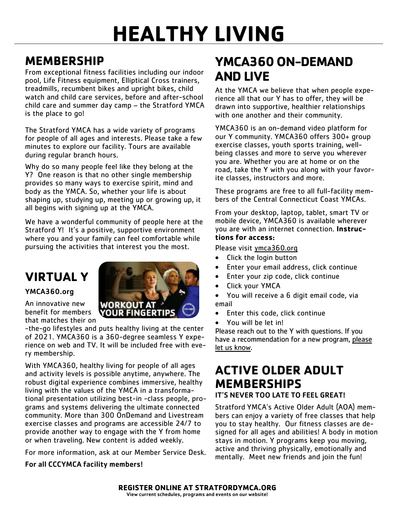### **MEMBERSHIP**

From exceptional fitness facilities including our indoor pool, Life Fitness equipment, Elliptical Cross trainers, treadmills, recumbent bikes and upright bikes, child watch and child care services, before and after-school child care and summer day camp – the Stratford YMCA is the place to go!

The Stratford YMCA has a wide variety of programs for people of all ages and interests. Please take a few minutes to explore our facility. Tours are available during regular branch hours.

Why do so many people feel like they belong at the Y? One reason is that no other single membership provides so many ways to exercise spirit, mind and body as the YMCA. So, whether your life is about shaping up, studying up, meeting up or growing up, it all begins with signing up at the YMCA.

We have a wonderful community of people here at the Stratford Y! It's a positive, supportive environment where you and your family can feel comfortable while pursuing the activities that interest you the most.

## **VIRTUAL Y**

#### YMCA360.org

An innovative new benefit for members that matches their on

-the-go lifestyles and puts healthy living at the center of 2021. YMCA360 is a 360-degree seamless Y experience on web and TV. It will be included free with every membership.

**WORKOUT** *YOUR FING* 

With YMCA360, healthy living for people of all ages and activity levels is possible anytime, anywhere. The robust digital experience combines immersive, healthy living with the values of the YMCA in a transformational presentation utilizing best-in -class people, programs and systems delivering the ultimate connected community. More than 300 OnDemand and Livestream exercise classes and programs are accessible 24/7 to provide another way to engage with the Y from home or when traveling. New content is added weekly.

For more information, ask at our Member Service Desk.

#### For all CCCYMCA facility members!

## **YMCA360 ON-DEMAND AND LIVE**

At the YMCA we believe that when people experience all that our Y has to offer, they will be drawn into supportive, healthier relationships with one another and their community.

YMCA360 is an on-demand video platform for our Y community. YMCA360 offers 300+ group exercise classes, youth sports training, wellbeing classes and more to serve you wherever you are. Whether you are at home or on the road, take the Y with you along with your favorite classes, instructors and more.

These programs are free to all full-facility members of the Central Connecticut Coast YMCAs.

From your desktop, laptop, tablet, smart TV or mobile device, YMCA360 is available wherever you are with an internet connection. **Instructions for access**:

Please visit [ymca360.org](http://www.ymca360.org/)

- Click the login button
- Enter your email address, click continue
- Enter your zip code, click continue
- Click your YMCA
- You will receive a 6 digit email code, via email
- Enter this code, click continue
- You will be let in!

Please reach out to the Y with questions. If you have a recommendation for a new program, [please](mailto:info@cccymca.org)  [let us know.](mailto:info@cccymca.org)

## **ACTIVE OLDER ADULT MEMBERSHIPS**

#### IT'S NEVER TOO LATE TO FEEL GREAT!

Stratford YMCA's Active Older Adult (AOA) members can enjoy a variety of free classes that help you to stay healthy. Our fitness classes are designed for all ages and abilities! A body in motion stays in motion. Y programs keep you moving, active and thriving physically, emotionally and mentally. Meet new friends and join the fun!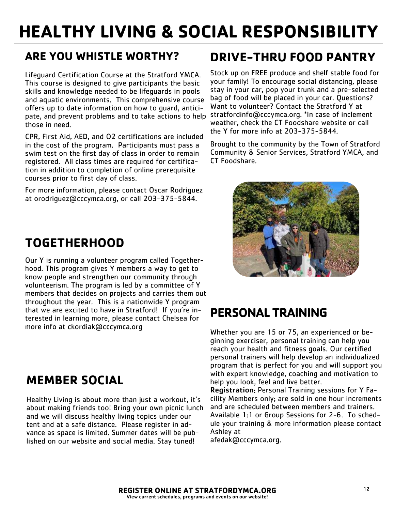## **HEALTHY LIVING & SOCIAL RESPONSIBILITY**

#### **ARE YOU WHISTLE WORTHY?**

Lifeguard Certification Course at the Stratford YMCA. This course is designed to give participants the basic skills and knowledge needed to be lifeguards in pools and aquatic environments. This comprehensive course offers up to date information on how to guard, anticipate, and prevent problems and to take actions to help those in need.

CPR, First Aid, AED, and O2 certifications are included in the cost of the program. Participants must pass a swim test on the first day of class in order to remain registered. All class times are required for certification in addition to completion of online prerequisite courses prior to first day of class.

For more information, please contact Oscar Rodriguez at orodriguez@cccymca.org, or call 203-375-5844.

### **TOGETHERHOOD**

Our Y is running a volunteer program called Togetherhood. This program gives Y members a way to get to know people and strengthen our community through volunteerism. The program is led by a committee of Y members that decides on projects and carries them out throughout the year. This is a nationwide Y program that we are excited to have in Stratford! If you're interested in learning more, please contact Chelsea for more info at ckordiak@cccymca.org

### **MEMBER SOCIAL**

Healthy Living is about more than just a workout, it's about making friends too! Bring your own picnic lunch and we will discuss healthy living topics under our tent and at a safe distance. Please register in advance as space is limited. Summer dates will be published on our website and social media. Stay tuned!

### **DRIVE-THRU FOOD PANTRY**

Stock up on FREE produce and shelf stable food for your family! To encourage social distancing, please stay in your car, pop your trunk and a pre-selected bag of food will be placed in your car. Questions? Want to volunteer? Contact the Stratford Y at stratfordinfo@cccymca.org. \*In case of inclement weather, check the CT Foodshare website or call the Y for more info at 203-375-5844.

Brought to the community by the Town of Stratford Community & Senior Services, Stratford YMCA, and CT Foodshare.



### **PERSONAL TRAINING**

Whether you are 15 or 75, an experienced or beginning exerciser, personal training can help you reach your health and fitness goals. Our certified personal trainers will help develop an individualized program that is perfect for you and will support you with expert knowledge, coaching and motivation to help you look, feel and live better.

Registration: Personal Training sessions for Y Facility Members only; are sold in one hour increments and are scheduled between members and trainers. Available 1:1 or Group Sessions for 2-6. To schedule your training & more information please contact Ashley at

afedak@cccymca.org.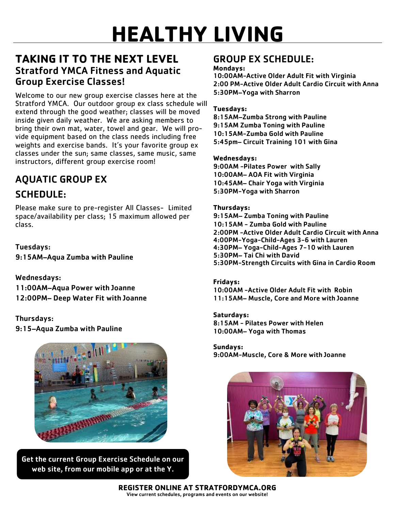#### **TAKING IT TO THE NEXT LEVEL** Stratford YMCA Fitness and Aquatic Group Exercise Classes!

Welcome to our new group exercise classes here at the Stratford YMCA. Our outdoor group ex class schedule will extend through the good weather; classes will be moved inside given daily weather. We are asking members to bring their own mat, water, towel and gear. We will provide equipment based on the class needs including free weights and exercise bands. It's your favorite group ex classes under the sun; same classes, same music, same instructors, different group exercise room!

## AQUATIC GROUP EX SCHEDULE:

Please make sure to pre-register All Classes- Limited space/availability per class; 15 maximum allowed per class.

Tuesdays: 9:15AM–Aqua Zumba with Pauline

Wednesdays: 11:00AM–Aqua Power with Joanne 12:00PM– Deep Water Fit with Joanne

Thursdays: 9:15–Aqua Zumba with Pauline



Get the current Group Exercise Schedule on our web site, from our mobile app or at the Y.

#### GROUP EX SCHEDULE:

#### **Mondays:**

10:00AM-Active Older Adult Fit with Virginia 2:00 PM-Active Older Adult Cardio Circuit with Anna 5:30PM–Yoga with Sharron

#### **Tuesdays:**

8:15AM–Zumba Strong with Pauline 9:15AM Zumba Toning with Pauline 10:15AM-Zumba Gold with Pauline 5:45pm– Circuit Training 101 with Gina

#### **Wednesdays:**

9:00AM -Pilates Power with Sally 10:00AM– AOA Fit with Virginia 10:45AM– Chair Yoga with Virginia 5:30PM-Yoga with Sharron

#### **Thursdays:**

9:15AM– Zumba Toning with Pauline 10:15AM - Zumba Gold with Pauline 2:00PM -Active Older Adult Cardio Circuit with Anna 4:00PM-Yoga-Child-Ages 3-6 with Lauren 4:30PM– Yoga-Child-Ages 7-10 with Lauren 5:30PM– Tai Chi with David 5:30PM-Strength Circuits with Gina in Cardio Room

#### **Fridays:**

10:00AM -Active Older Adult Fit with Robin 11:15AM– Muscle, Core and More with Joanne

**Saturdays:** 8:15AM - Pilates Power with Helen 10:00AM– Yoga with Thomas

**Sundays:** 9:00AM-Muscle, Core & More with Joanne



**REGISTER ONLINE AT STRATFORDYMCA.ORG** View current schedules, programs and events on our website!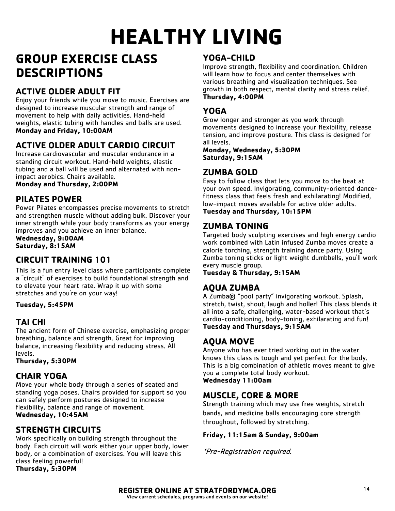### **GROUP EXERCISE CLASS DESCRIPTIONS**

#### **ACTIVE OLDER ADULT FIT**

Enjoy your friends while you move to music. Exercises are designed to increase muscular strength and range of movement to help with daily activities. Hand-held weights, elastic tubing with handles and balls are used. **Monday and Friday, 10:00AM**

#### **ACTIVE OLDER ADULT CARDIO CIRCUIT**

Increase cardiovascular and muscular endurance in a standing circuit workout. Hand-held weights, elastic tubing and a ball will be used and alternated with nonimpact aerobics. Chairs available.

**Monday and Thursday, 2:00PM**

#### **PILATES POWER**

Power Pilates encompasses precise movements to stretch and strengthen muscle without adding bulk. Discover your inner strength while your body transforms as your energy improves and you achieve an inner balance.

**Wednesday, 9:00AM Saturday, 8:15AM**

#### **CIRCUIT TRAINING 101**

This is a fun entry level class where participants complete a "circuit" of exercises to build foundational strength and to elevate your heart rate. Wrap it up with some stretches and you're on your way!

#### **Tuesday, 5:45PM**

#### **TAI CHI**

The ancient form of Chinese exercise, emphasizing proper breathing, balance and strength. Great for improving balance, increasing flexibility and reducing stress. All levels.

**Thursday, 5:30PM**

#### **CHAIR YOGA**

Move your whole body through a series of seated and standing yoga poses. Chairs provided for support so you can safely perform postures designed to increase flexibility, balance and range of movement. **Wednesday, 10:45AM**

#### **STRENGTH CIRCUITS**

Work specifically on building strength throughout the body. Each circuit will work either your upper body, lower body, or a combination of exercises. You will leave this class feeling powerful! **Thursday, 5:30PM**

#### **YOGA-CHILD**

Improve strength, flexibility and coordination. Children will learn how to focus and center themselves with various breathing and visualization techniques. See growth in both respect, mental clarity and stress relief. **Thursday, 4:00PM**

#### **YOGA**

Grow longer and stronger as you work through movements designed to increase your flexibility, release tension, and improve posture. This class is designed for all levels.

**Monday, Wednesday, 5:30PM Saturday, 9:15AM** 

#### **ZUMBA GOLD**

Easy to follow class that lets you move to the beat at your own speed. Invigorating, community-oriented dancefitness class that feels fresh and exhilarating! Modified, low-impact moves available for active older adults. **Tuesday and Thursday, 10:15PM**

#### **ZUMBA TONING**

Targeted body sculpting exercises and high energy cardio work combined with Latin infused Zumba moves create a calorie torching, strength training dance party. Using Zumba toning sticks or light weight dumbbells, you'll work every muscle group.

**Tuesday & Thursday, 9:15AM**

#### **AQUA ZUMBA**

A Zumba® "pool party" invigorating workout. Splash, stretch, twist, shout, laugh and holler! This class blends it all into a safe, challenging, water-based workout that's cardio-conditioning, body-toning, exhilarating and fun! **Tuesday and Thursdays, 9:15AM**

#### **AQUA MOVE**

Anyone who has ever tried working out in the water knows this class is tough and yet perfect for the body. This is a big combination of athletic moves meant to give you a complete total body workout. **Wednesday 11:00am**

#### **MUSCLE, CORE & MORE**

Strength training which may use free weights, stretch bands, and medicine balls encouraging core strength throughout, followed by stretching.

#### **Friday, 11:15am & Sunday, 9:00am**

\*Pre-Registration required.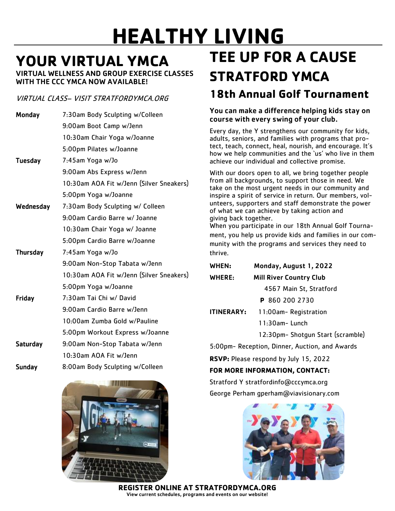## **YOUR VIRTUAL YMCA**

VIRTUAL WELLNESS AND GROUP EXERCISE CLASSES WITH THE CCC YMCA NOW AVAILABLE!

#### VIRTUAL CLASS– VISIT STRATFORDYMCA.ORG

| Monday          | 7:30am Body Sculpting w/Colleen          |
|-----------------|------------------------------------------|
|                 | 9:00am Boot Camp w/Jenn                  |
|                 | 10:30am Chair Yoga w/Joanne              |
|                 | 5:00pm Pilates w/Joanne                  |
| <b>Tuesday</b>  | 7:45am Yoga w/Jo                         |
|                 | 9:00am Abs Express w/Jenn                |
|                 | 10:30am AOA Fit w/Jenn (Silver Sneakers) |
|                 | 5:00pm Yoga w/Joanne                     |
| Wednesday       | 7:30am Body Sculpting w/ Colleen         |
|                 | 9:00am Cardio Barre w/ Joanne            |
|                 | 10:30am Chair Yoga w/ Joanne             |
|                 | 5:00pm Cardio Barre w/Joanne             |
| <b>Thursday</b> | 7:45am Yoga w/Jo                         |
|                 | 9:00am Non-Stop Tabata w/Jenn            |
|                 | 10:30am AOA Fit w/Jenn (Silver Sneakers) |
|                 | 5:00pm Yoga w/Joanne                     |
| Friday          | 7:30am Tai Chi w/ David                  |
|                 | 9:00am Cardio Barre w/Jenn               |
|                 | 10:00am Zumba Gold w/Pauline             |
|                 | 5:00pm Workout Express w/Joanne          |
| <b>Saturday</b> | 9:00am Non-Stop Tabata w/Jenn            |
|                 | 10:30am AOA Fit w/Jenn                   |
| <b>Sunday</b>   | 8:00am Body Sculpting w/Colleen          |



## **TEE UP FOR A CAUSE STRATFORD YMCA**

### **18th Annual Golf Tournament**

You can make a difference helping kids stay on course with every swing of your club.

Every day, the Y strengthens our community for kids, adults, seniors, and families with programs that protect, teach, connect, heal, nourish, and encourage. It's how we help communities and the 'us' who live in them achieve our individual and collective promise.

With our doors open to all, we bring together people from all backgrounds, to support those in need. We take on the most urgent needs in our community and inspire a spirit of service in return. Our members, volunteers, supporters and staff demonstrate the power of what we can achieve by taking action and giving back together.

When you participate in our 18th Annual Golf Tournament, you help us provide kids and families in our community with the programs and services they need to thrive.

| WHEN:             | Monday, August 1, 2022            |
|-------------------|-----------------------------------|
| WHERE:            | <b>Mill River Country Club</b>    |
|                   | 4567 Main St, Stratford           |
|                   | P 860 200 2730                    |
| <b>ITINERARY:</b> | 11:00am-Registration              |
|                   | $11:30$ am-Lunch                  |
|                   | 12:30pm- Shotqun Start (scramble) |

5:00pm- Reception, Dinner, Auction, and Awards

**RSVP:** Please respond by July 15, 2022

#### **FOR MORE INFORMATION, CONTACT:**

Stratford Y stratfordinfo@cccymca.org

George Perham gperham@viavisionary.com



**REGISTER ONLINE AT STRATFORDYMCA.ORG** View current schedules, programs and events on our website!